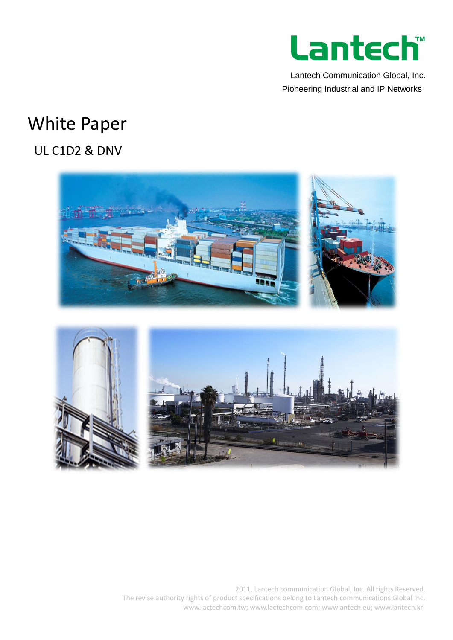

Lantech Communication Global, Inc. Pioneering Industrial and IP Networks

# White Paper

# UL C1D2 & DNV



2011, Lantech communication Global, Inc. All rights Reserved. The revise authority rights of product specifications belong to Lantech communications Global Inc. www.lactechcom.tw; www.lactechcom.com; wwwlantech.eu; www.lantech.kr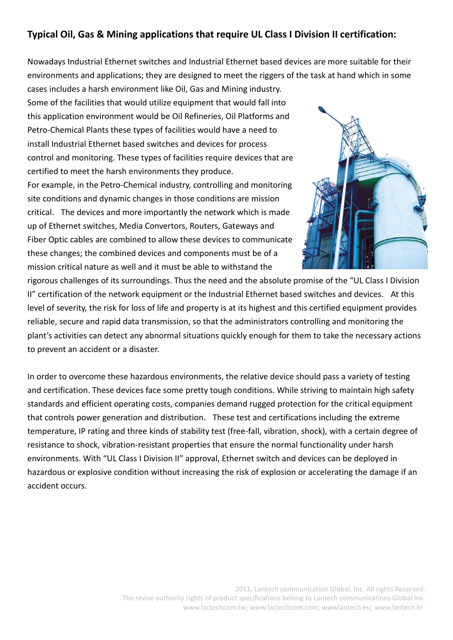## **Typical Oil, Gas & Mining applications that require UL Class I Division II certification:**

Nowadays Industrial Ethernet switches and Industrial Ethernet based devices are more suitable for their environments and applications; they are designed to meet the riggers of the task at hand which in some cases includes a harsh environment like Oil, Gas and Mining industry.

Some of the facilities that would utilize equipment that would fall into this application environment would be Oil Refineries, Oil Platforms and Petro-Chemical Plants these types of facilities would have a need to install Industrial Ethernet based switches and devices for process control and monitoring. These types of facilities require devices that are certified to meet the harsh environments they produce.

For example, in the Petro-Chemical industry, controlling and monitoring site conditions and dynamic changes in those conditions are mission critical. The devices and more importantly the network which is made up of Ethernet switches, Media Convertors, Routers, Gateways and Fiber Optic cables are combined to allow these devices to communicate these changes; the combined devices and components must be of a mission critical nature as well and it must be able to withstand the



rigorous challenges of its surroundings. Thus the need and the absolute promise of the "UL Class I Division II" certification of the network equipment or the Industrial Ethernet based switches and devices. At this level of severity, the risk for loss of life and property is at its highest and this certified equipment provides reliable, secure and rapid data transmission, so that the administrators controlling and monitoring the plant's activities can detect any abnormal situations quickly enough for them to take the necessary actions to prevent an accident or a disaster.

In order to overcome these hazardous environments, the relative device should pass a variety of testing and certification. These devices face some pretty tough conditions. While striving to maintain high safety standards and efficient operating costs, companies demand rugged protection for the critical equipment that controls power generation and distribution. These test and certifications including the extreme temperature, IP rating and three kinds of stability test (free-fall, vibration, shock), with a certain degree of resistance to shock, vibration-resistant properties that ensure the normal functionality under harsh environments. With "UL Class I Division II" approval, Ethernet switch and devices can be deployed in hazardous or explosive condition without increasing the risk of explosion or accelerating the damage if an accident occurs.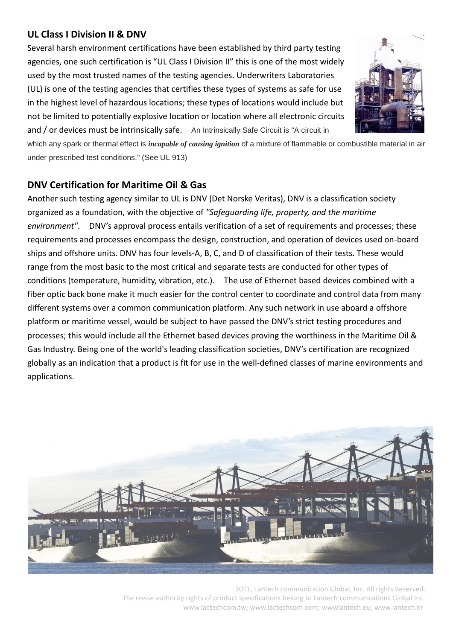## **UL Class I Division II & DNV**

Several harsh environment certifications have been established by third party testing agencies, one such certification is "UL Class I Division II" this is one of the most widely used by the most trusted names of the testing agencies. Underwriters Laboratories (UL) is one of the testing agencies that certifies these types of systems as safe for use in the highest level of hazardous locations; these types of locations would include but not be limited to potentially explosive location or location where all electronic circuits and / or devices must be intrinsically safe. An Intrinsically Safe Circuit is "A circuit in



which any spark or thermal effect is *incapable of causing ignition* of a mixture of flammable or combustible material in air under prescribed test conditions." (See UL 913)

# **DNV Certification for Maritime Oil & Gas**

Another such testing agency similar to UL is DNV (Det Norske Veritas), DNV is a classification society organized as a foundation, with the objective of *"Safeguarding life, property, and the maritime environment"*. DNV's approval process entails verification of a set of requirements and processes; these requirements and processes encompass the design, construction, and operation of devices used on-board ships and offshore units. DNV has four levels-A, B, C, and D of classification of their tests. These would range from the most basic to the most critical and separate tests are conducted for other types of conditions (temperature, humidity, vibration, etc.). The use of Ethernet based devices combined with a fiber optic back bone make it much easier for the control center to coordinate and control data from many different systems over a common communication platform. Any such network in use aboard a offshore platform or maritime vessel, would be subject to have passed the DNV's strict testing procedures and processes; this would include all the Ethernet based devices proving the worthiness in the Maritime Oil & Gas Industry. Being one of the world's leading classification societies, DNV's certification are recognized globally as an indication that a product is fit for use in the well-defined classes of marine environments and applications.



2011, Lantech communication Global, Inc. All rights Reserved. The revise authority rights of product specifications belong to Lantech communications Global Inc. www.lactechcom.tw; www.lactechcom.com; wwwlantech.eu; www.lantech.kr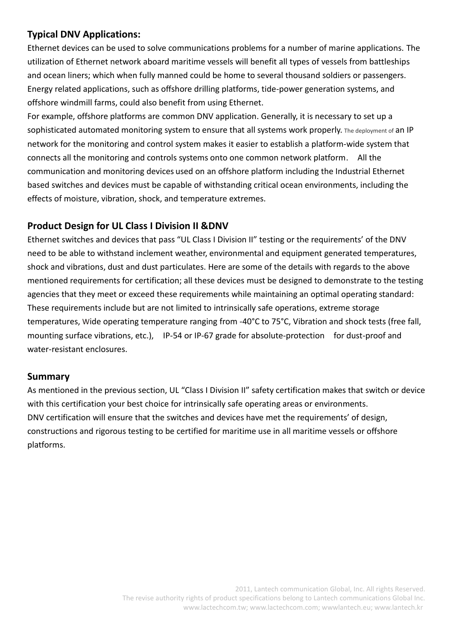#### **Typical DNV Applications:**

Ethernet devices can be used to solve communications problems for a number of marine applications. The utilization of Ethernet network aboard maritime vessels will benefit all types of vessels from battleships and ocean liners; which when fully manned could be home to several thousand soldiers or passengers. Energy related applications, such as offshore drilling platforms, tide-power generation systems, and offshore windmill farms, could also benefit from using Ethernet.

For example, offshore platforms are common DNV application. Generally, it is necessary to set up a sophisticated automated monitoring system to ensure that all systems work properly. The deployment of an IP network for the monitoring and control system makes it easier to establish a platform-wide system that connects all the monitoring and controls systems onto one common network platform. All the communication and monitoring devices used on an offshore platform including the Industrial Ethernet based switches and devices must be capable of withstanding critical ocean environments, including the effects of moisture, vibration, shock, and temperature extremes.

#### **Product Design for UL Class I Division II &DNV**

Ethernet switches and devices that pass "UL Class I Division II" testing or the requirements' of the DNV need to be able to withstand inclement weather, environmental and equipment generated temperatures, shock and vibrations, dust and dust particulates. Here are some of the details with regards to the above mentioned requirements for certification; all these devices must be designed to demonstrate to the testing agencies that they meet or exceed these requirements while maintaining an optimal operating standard: These requirements include but are not limited to intrinsically safe operations, extreme storage temperatures, Wide operating temperature ranging from -40°C to 75°C, Vibration and shock tests (free fall, mounting surface vibrations, etc.), IP-54 or IP-67 grade for absolute-protection for dust-proof and water-resistant enclosures.

#### **Summary**

As mentioned in the previous section, UL "Class I Division II" safety certification makes that switch or device with this certification your best choice for intrinsically safe operating areas or environments. DNV certification will ensure that the switches and devices have met the requirements' of design, constructions and rigorous testing to be certified for maritime use in all maritime vessels or offshore platforms.